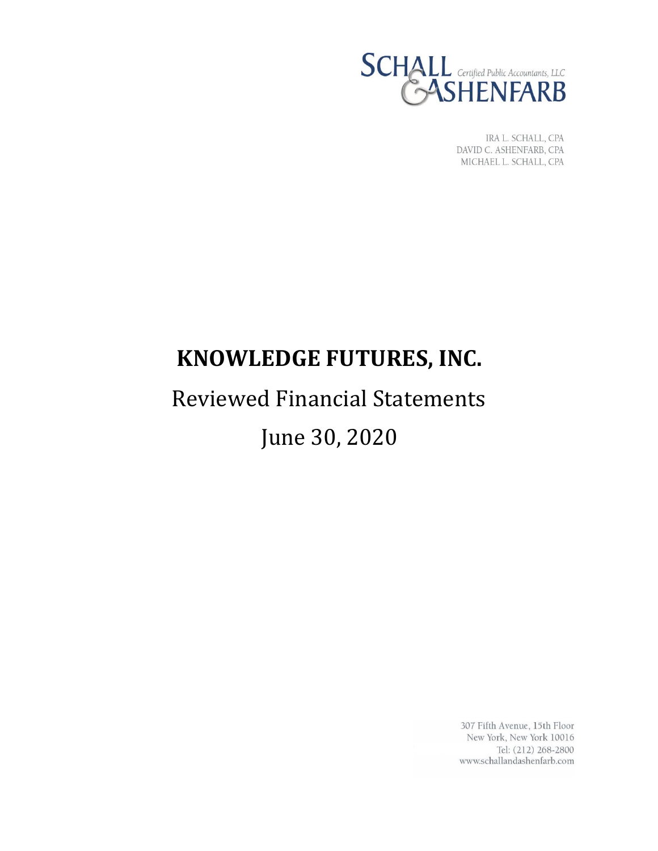

IRA L. SCHALL, CPA DAVID C. ASHENFARB, CPA MICHAEL L. SCHALL, CPA

# **KNOWLEDGE FUTURES, INC.**

# Reviewed Financial Statements June 30, 2020

307 Fifth Avenue, 15th Floor New York, New York 10016 Tel: (212) 268-2800 www.schallandashenfarb.com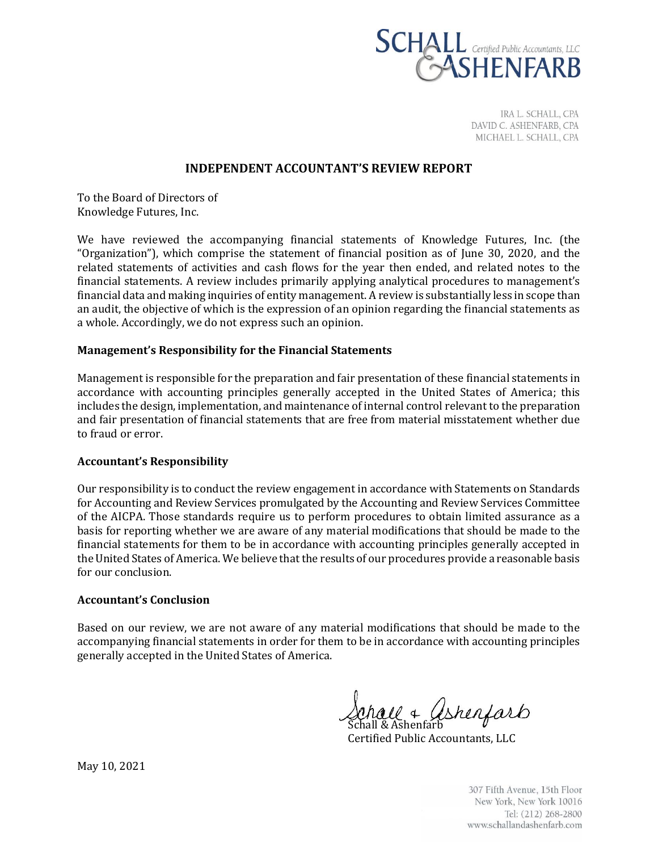

IRA L. SCHALL, CPA DAVID C. ASHENFARB, CPA MICHAEL L. SCHALL, CPA

#### **INDEPENDENT ACCOUNTANT'S REVIEW REPORT**

To the Board of Directors of Knowledge Futures, Inc.

We have reviewed the accompanying financial statements of Knowledge Futures, Inc. (the "Organization"), which comprise the statement of financial position as of June 30, 2020, and the related statements of activities and cash flows for the year then ended, and related notes to the financial statements. A review includes primarily applying analytical procedures to management's financial data and making inquiries of entity management. A review is substantially less in scope than an audit, the objective of which is the expression of an opinion regarding the financial statements as a whole. Accordingly, we do not express such an opinion.

#### **Management's Responsibility for the Financial Statements**

Management is responsible for the preparation and fair presentation of these financial statements in accordance with accounting principles generally accepted in the United States of America; this includes the design, implementation, and maintenance of internal control relevant to the preparation and fair presentation of financial statements that are free from material misstatement whether due to fraud or error.

#### **Accountant's Responsibility**

Our responsibility is to conduct the review engagement in accordance with Statements on Standards for Accounting and Review Services promulgated by the Accounting and Review Services Committee of the AICPA. Those standards require us to perform procedures to obtain limited assurance as a basis for reporting whether we are aware of any material modifications that should be made to the financial statements for them to be in accordance with accounting principles generally accepted in the United States of America. We believe that the results of our procedures provide a reasonable basis for our conclusion.

#### **Accountant's Conclusion**

Based on our review, we are not aware of any material modifications that should be made to the accompanying financial statements in order for them to be in accordance with accounting principles generally accepted in the United States of America.

all & Ashenfarb

Certified Public Accountants, LLC

May 10, 2021

307 Fifth Avenue, 15th Floor New York, New York 10016 Tel: (212) 268-2800 www.schallandashenfarb.com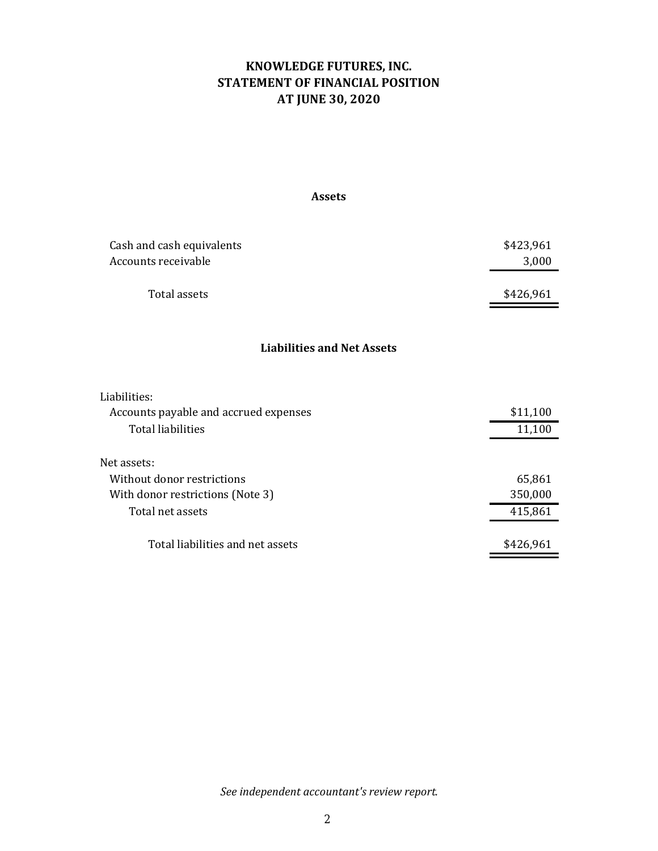# **KNOWLEDGE FUTURES, INC. STATEMENT OF FINANCIAL POSITION AT JUNE 30, 2020**

#### **Assets**

| Cash and cash equivalents             | \$423,961 |
|---------------------------------------|-----------|
| Accounts receivable                   | 3,000     |
| Total assets                          | \$426,961 |
| <b>Liabilities and Net Assets</b>     |           |
| Liabilities:                          |           |
| Accounts payable and accrued expenses | \$11,100  |
| <b>Total liabilities</b>              | 11,100    |
| Net assets:                           |           |
| Without donor restrictions            | 65,861    |
| With donor restrictions (Note 3)      | 350,000   |
| Total net assets                      | 415,861   |
| Total liabilities and net assets      | \$426,961 |

*See independent accountant's review report.*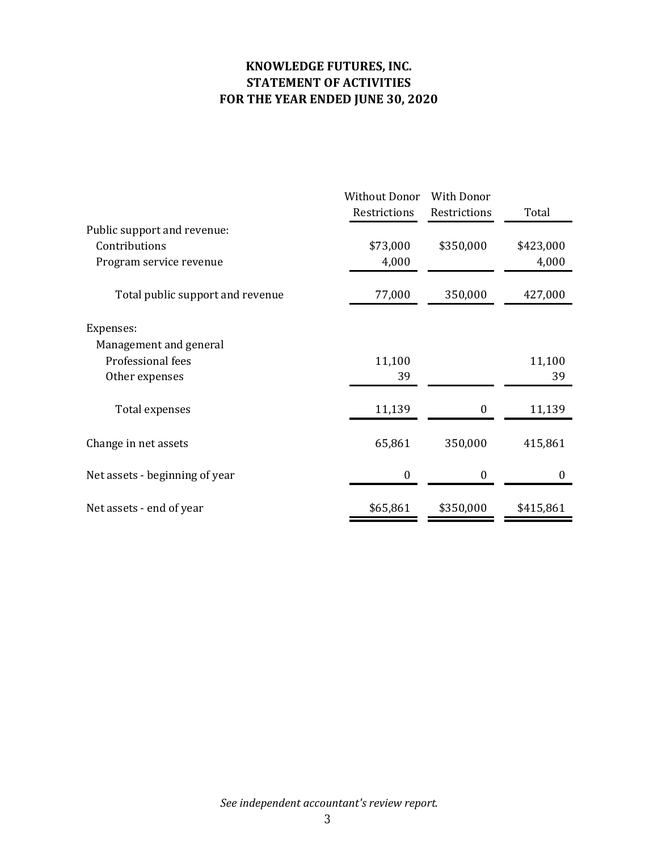# **FOR THE YEAR ENDED JUNE 30, 2020 STATEMENT OF ACTIVITIES KNOWLEDGE FUTURES, INC.**

|                                  | <b>Without Donor</b><br>Restrictions | <b>With Donor</b><br>Restrictions | Total     |
|----------------------------------|--------------------------------------|-----------------------------------|-----------|
| Public support and revenue:      |                                      |                                   |           |
| Contributions                    | \$73,000                             | \$350,000                         | \$423,000 |
| Program service revenue          | 4,000                                |                                   | 4,000     |
| Total public support and revenue | 77,000                               | 350,000                           | 427,000   |
| Expenses:                        |                                      |                                   |           |
| Management and general           |                                      |                                   |           |
| Professional fees                | 11,100                               |                                   | 11,100    |
| Other expenses                   | 39                                   |                                   | 39        |
| Total expenses                   | 11,139                               | 0                                 | 11,139    |
| Change in net assets             | 65,861                               | 350,000                           | 415,861   |
| Net assets - beginning of year   | $\theta$                             | $\Omega$                          | $\theta$  |
| Net assets - end of year         | \$65,861                             | \$350,000                         | \$415,861 |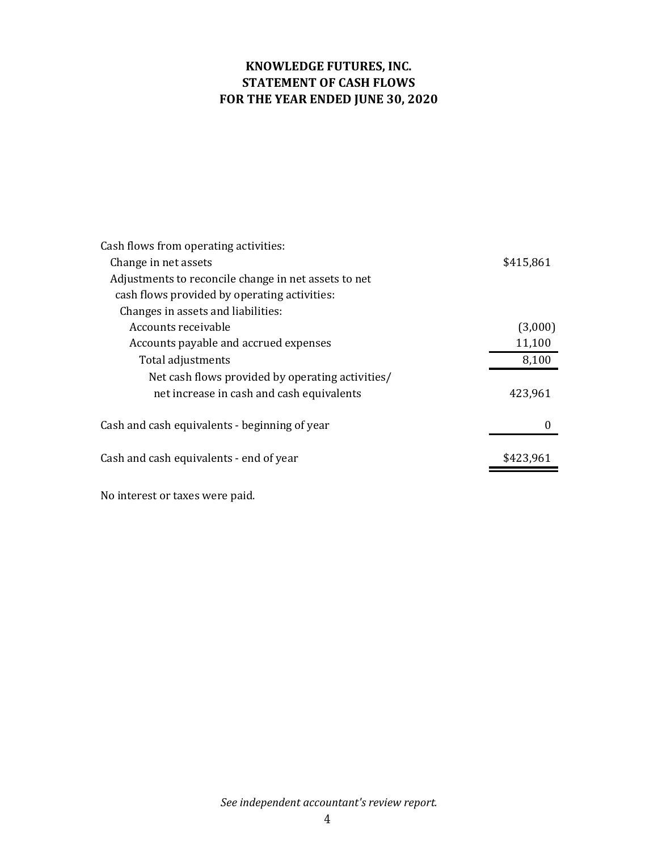## **KNOWLEDGE FUTURES, INC. STATEMENT OF CASH FLOWS FOR THE YEAR ENDED JUNE 30, 2020**

| Cash flows from operating activities:<br>Change in net assets<br>Adjustments to reconcile change in net assets to net<br>cash flows provided by operating activities:<br>Changes in assets and liabilities: | \$415,861 |
|-------------------------------------------------------------------------------------------------------------------------------------------------------------------------------------------------------------|-----------|
| Accounts receivable                                                                                                                                                                                         | (3,000)   |
| Accounts payable and accrued expenses                                                                                                                                                                       | 11,100    |
| Total adjustments                                                                                                                                                                                           | 8,100     |
| Net cash flows provided by operating activities/<br>net increase in cash and cash equivalents                                                                                                               | 423,961   |
| Cash and cash equivalents - beginning of year                                                                                                                                                               |           |
| Cash and cash equivalents - end of year                                                                                                                                                                     | \$423,961 |
|                                                                                                                                                                                                             |           |

No interest or taxes were paid.

*See independent accountant's review report.*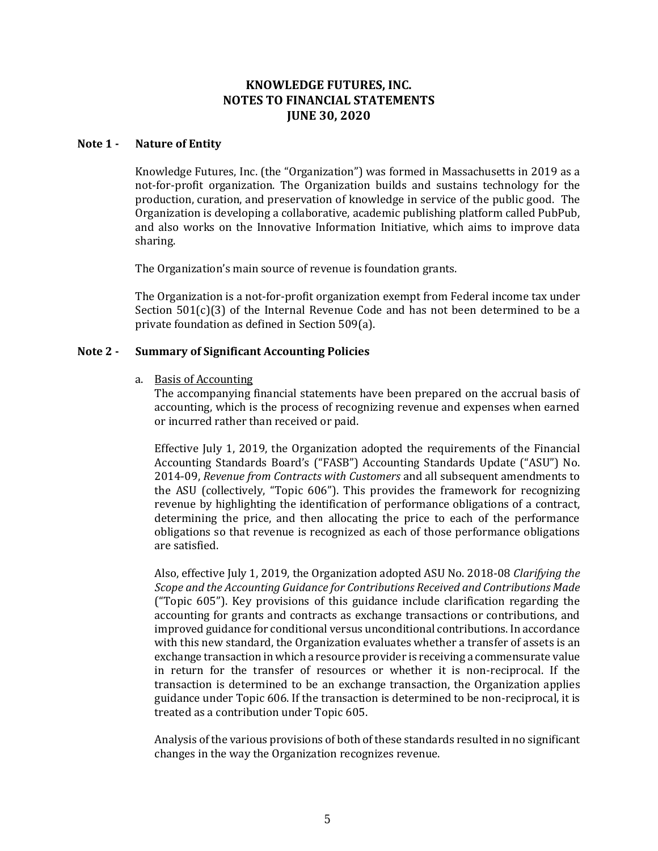### **KNOWLEDGE FUTURES, INC. NOTES TO FINANCIAL STATEMENTS JUNE 30, 2020**

#### **Note 1 - Nature of Entity**

Knowledge Futures, Inc. (the "Organization") was formed in Massachusetts in 2019 as a not-for-profit organization. The Organization builds and sustains technology for the production, curation, and preservation of knowledge in service of the public good. The Organization is developing a collaborative, academic publishing platform called PubPub, and also works on the Innovative Information Initiative, which aims to improve data sharing.

The Organization's main source of revenue is foundation grants.

The Organization is a not-for-profit organization exempt from Federal income tax under Section  $501(c)(3)$  of the Internal Revenue Code and has not been determined to be a private foundation as defined in Section 509(a).

#### **Note 2 - Summary of Significant Accounting Policies**

a. Basis of Accounting

The accompanying financial statements have been prepared on the accrual basis of accounting, which is the process of recognizing revenue and expenses when earned or incurred rather than received or paid.

Effective July 1, 2019, the Organization adopted the requirements of the Financial Accounting Standards Board's ("FASB") Accounting Standards Update ("ASU") No. 2014-09, *Revenue from Contracts with Customers* and all subsequent amendments to the ASU (collectively, "Topic 606"). This provides the framework for recognizing revenue by highlighting the identification of performance obligations of a contract, determining the price, and then allocating the price to each of the performance obligations so that revenue is recognized as each of those performance obligations are satisfied.

Also, effective July 1, 2019, the Organization adopted ASU No. 2018-08 *Clarifying the Scope and the Accounting Guidance for Contributions Received and Contributions Made* ("Topic 605"). Key provisions of this guidance include clarification regarding the accounting for grants and contracts as exchange transactions or contributions, and improved guidance for conditional versus unconditional contributions. In accordance with this new standard, the Organization evaluates whether a transfer of assets is an exchange transaction in which a resource provider is receiving a commensurate value in return for the transfer of resources or whether it is non-reciprocal. If the transaction is determined to be an exchange transaction, the Organization applies guidance under Topic 606. If the transaction is determined to be non-reciprocal, it is treated as a contribution under Topic 605.

Analysis of the various provisions of both of these standards resulted in no significant changes in the way the Organization recognizes revenue.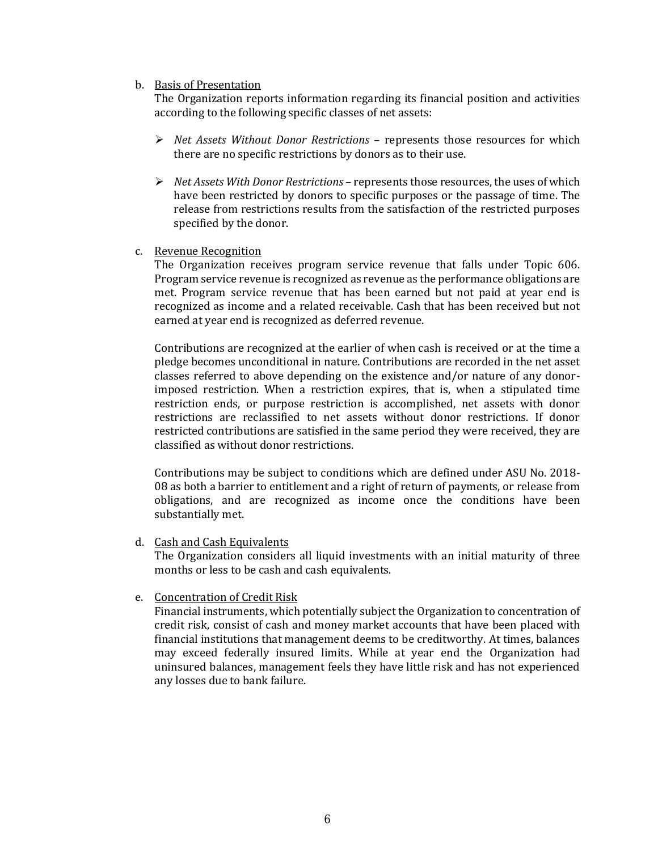#### b. Basis of Presentation

The Organization reports information regarding its financial position and activities according to the following specific classes of net assets:

- ➢ *Net Assets Without Donor Restrictions* represents those resources for which there are no specific restrictions by donors as to their use.
- ➢ *Net Assets With Donor Restrictions* represents those resources, the uses of which have been restricted by donors to specific purposes or the passage of time. The release from restrictions results from the satisfaction of the restricted purposes specified by the donor.
- c. Revenue Recognition

The Organization receives program service revenue that falls under Topic 606. Program service revenue is recognized as revenue as the performance obligations are met. Program service revenue that has been earned but not paid at year end is recognized as income and a related receivable. Cash that has been received but not earned at year end is recognized as deferred revenue.

Contributions are recognized at the earlier of when cash is received or at the time a pledge becomes unconditional in nature. Contributions are recorded in the net asset classes referred to above depending on the existence and/or nature of any donorimposed restriction. When a restriction expires, that is, when a stipulated time restriction ends, or purpose restriction is accomplished, net assets with donor restrictions are reclassified to net assets without donor restrictions. If donor restricted contributions are satisfied in the same period they were received, they are classified as without donor restrictions.

Contributions may be subject to conditions which are defined under ASU No. 2018- 08 as both a barrier to entitlement and a right of return of payments, or release from obligations, and are recognized as income once the conditions have been substantially met.

d. Cash and Cash Equivalents

The Organization considers all liquid investments with an initial maturity of three months or less to be cash and cash equivalents.

e. Concentration of Credit Risk

Financial instruments, which potentially subject the Organization to concentration of credit risk, consist of cash and money market accounts that have been placed with financial institutions that management deems to be creditworthy. At times, balances may exceed federally insured limits. While at year end the Organization had uninsured balances, management feels they have little risk and has not experienced any losses due to bank failure.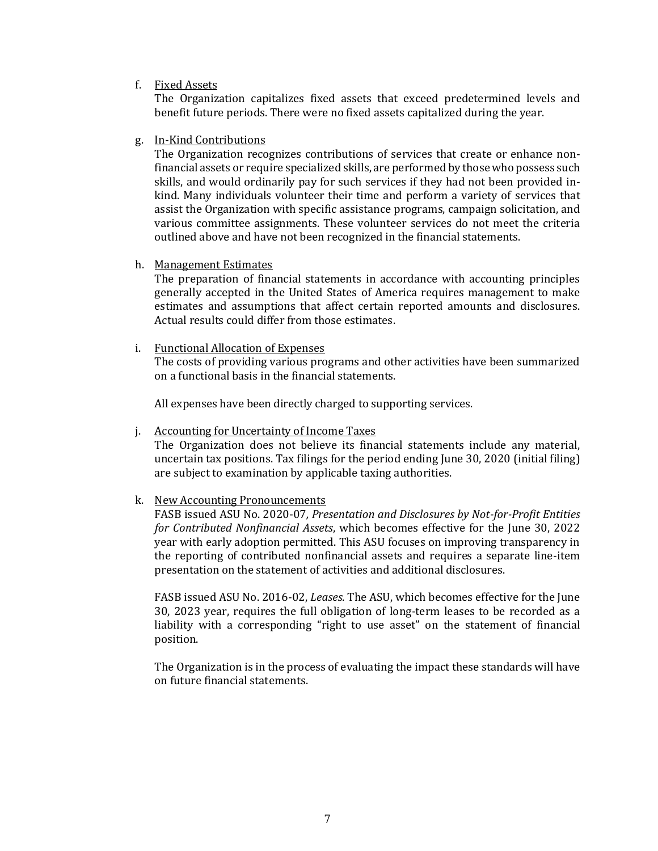#### f. Fixed Assets

The Organization capitalizes fixed assets that exceed predetermined levels and benefit future periods. There were no fixed assets capitalized during the year.

#### g. In-Kind Contributions

The Organization recognizes contributions of services that create or enhance nonfinancial assets or require specialized skills, are performed by those who possess such skills, and would ordinarily pay for such services if they had not been provided inkind. Many individuals volunteer their time and perform a variety of services that assist the Organization with specific assistance programs, campaign solicitation, and various committee assignments. These volunteer services do not meet the criteria outlined above and have not been recognized in the financial statements.

#### h. Management Estimates

The preparation of financial statements in accordance with accounting principles generally accepted in the United States of America requires management to make estimates and assumptions that affect certain reported amounts and disclosures. Actual results could differ from those estimates.

#### i. Functional Allocation of Expenses

The costs of providing various programs and other activities have been summarized on a functional basis in the financial statements.

All expenses have been directly charged to supporting services.

#### j. Accounting for Uncertainty of Income Taxes

The Organization does not believe its financial statements include any material, uncertain tax positions. Tax filings for the period ending June 30, 2020 (initial filing) are subject to examination by applicable taxing authorities.

#### k. New Accounting Pronouncements

FASB issued ASU No. 2020-07*, Presentation and Disclosures by Not-for-Profit Entities for Contributed Nonfinancial Assets*, which becomes effective for the June 30, 2022 year with early adoption permitted. This ASU focuses on improving transparency in the reporting of contributed nonfinancial assets and requires a separate line-item presentation on the statement of activities and additional disclosures.

FASB issued ASU No. 2016-02, *Leases*. The ASU, which becomes effective for the June 30, 2023 year, requires the full obligation of long-term leases to be recorded as a liability with a corresponding "right to use asset" on the statement of financial position.

The Organization is in the process of evaluating the impact these standards will have on future financial statements.